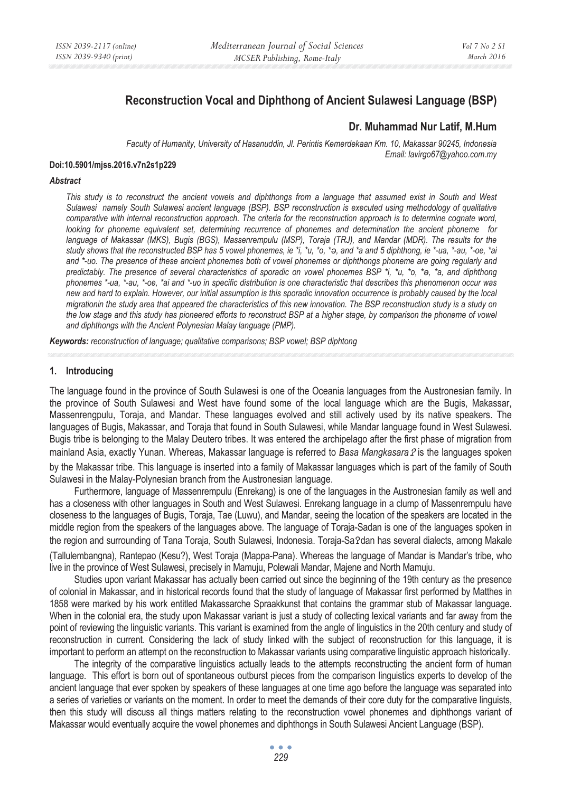# **Reconstruction Vocal and Diphthong of Ancient Sulawesi Language (BSP)**

# **Dr. Muhammad Nur Latif, M.Hum**

*Faculty of Humanity, University of Hasanuddin, Jl. Perintis Kemerdekaan Km. 10, Makassar 90245, Indonesia Email: lavirgo67@yahoo.com.my* 

#### **Doi:10.5901/mjss.2016.v7n2s1p229**

### *Abstract*

This study is to reconstruct the ancient vowels and diphthongs from a language that assumed exist in South and West *Sulawesi namely South Sulawesi ancient language (BSP). BSP reconstruction is executed using methodology of qualitative*  comparative with internal reconstruction approach. The criteria for the reconstruction approach is to determine cognate word, *looking for phoneme equivalent set, determining recurrence of phonemes and determination the ancient phoneme for language of Makassar (MKS), Bugis (BGS), Massenrempulu (MSP), Toraja (TRJ), and Mandar (MDR). The results for the study shows that the reconstructed BSP has 5 vowel phonemes, ie \*i, \*u, \*o, \*ι, and \*a and 5 diphthong, ie \*-ua, \*-au, \*-oe, \*ai and \*-uo. The presence of these ancient phonemes both of vowel phonemes or diphthongs phoneme are going regularly and predictably. The presence of several characteristics of sporadic on vowel phonemes BSP \*i, \*u, \*o, \*ι, \*a, and diphthong phonemes \*-ua, \*-au, \*-oe, \*ai and \*-uo in specific distribution is one characteristic that describes this phenomenon occur was new and hard to explain. However, our initial assumption is this sporadic innovation occurrence is probably caused by the local migrationin the study area that appeared the characteristics of this new innovation. The BSP reconstruction study is a study on the low stage and this study has pioneered efforts to reconstruct BSP at a higher stage, by comparison the phoneme of vowel and diphthongs with the Ancient Polynesian Malay language (PMP).* 

*Keywords: reconstruction of language; qualitative comparisons; BSP vowel; BSP diphtong*

### **1. Introducing**

The language found in the province of South Sulawesi is one of the Oceania languages from the Austronesian family. In the province of South Sulawesi and West have found some of the local language which are the Bugis, Makassar, Massenrengpulu, Toraja, and Mandar. These languages evolved and still actively used by its native speakers. The languages of Bugis, Makassar, and Toraja that found in South Sulawesi, while Mandar language found in West Sulawesi. Bugis tribe is belonging to the Malay Deutero tribes. It was entered the archipelago after the first phase of migration from mainland Asia, exactly Yunan. Whereas, Makassar language is referred to *Basa Mangkasara ?* is the languages spoken by the Makassar tribe. This language is inserted into a family of Makassar languages which is part of the family of South Sulawesi in the Malay-Polynesian branch from the Austronesian language.

Furthermore, language of Massenrempulu (Enrekang) is one of the languages in the Austronesian family as well and has a closeness with other languages in South and West Sulawesi. Enrekang language in a clump of Massenrempulu have closeness to the languages of Bugis, Toraja, Tae (Luwu), and Mandar, seeing the location of the speakers are located in the middle region from the speakers of the languages above. The language of Toraja-Sadan is one of the languages spoken in the region and surrounding of Tana Toraja, South Sulawesi, Indonesia. Toraja-Sa?dan has several dialects, among Makale (Tallulembangna), Rantepao (Kesu?), West Toraja (Mappa-Pana). Whereas the language of Mandar is Mandar's tribe, who live in the province of West Sulawesi, precisely in Mamuju, Polewali Mandar, Majene and North Mamuju.

Studies upon variant Makassar has actually been carried out since the beginning of the 19th century as the presence of colonial in Makassar, and in historical records found that the study of language of Makassar first performed by Matthes in 1858 were marked by his work entitled Makassarche Spraakkunst that contains the grammar stub of Makassar language. When in the colonial era, the study upon Makassar variant is just a study of collecting lexical variants and far away from the point of reviewing the linguistic variants. This variant is examined from the angle of linguistics in the 20th century and study of reconstruction in current. Considering the lack of study linked with the subject of reconstruction for this language, it is important to perform an attempt on the reconstruction to Makassar variants using comparative linguistic approach historically.

The integrity of the comparative linguistics actually leads to the attempts reconstructing the ancient form of human language. This effort is born out of spontaneous outburst pieces from the comparison linguistics experts to develop of the ancient language that ever spoken by speakers of these languages at one time ago before the language was separated into a series of varieties or variants on the moment. In order to meet the demands of their core duty for the comparative linguists, then this study will discuss all things matters relating to the reconstruction vowel phonemes and diphthongs variant of Makassar would eventually acquire the vowel phonemes and diphthongs in South Sulawesi Ancient Language (BSP).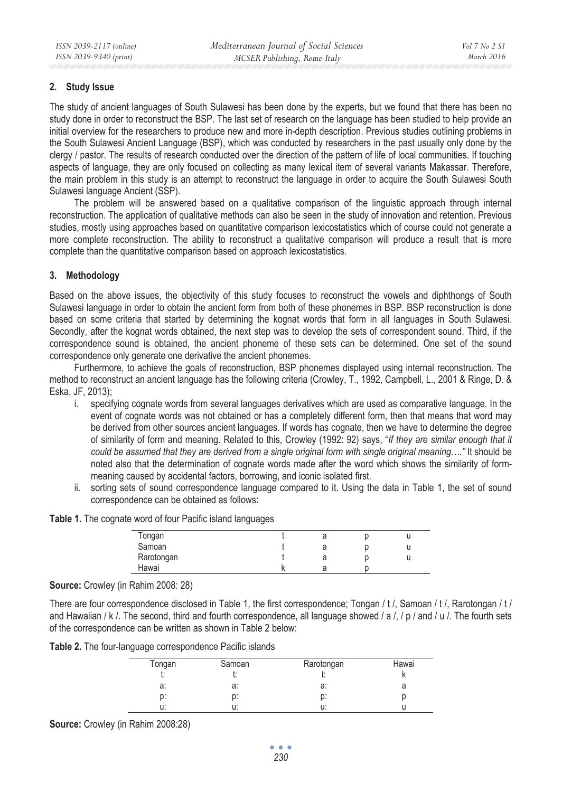## **2. Study Issue**

The study of ancient languages of South Sulawesi has been done by the experts, but we found that there has been no study done in order to reconstruct the BSP. The last set of research on the language has been studied to help provide an initial overview for the researchers to produce new and more in-depth description. Previous studies outlining problems in the South Sulawesi Ancient Language (BSP), which was conducted by researchers in the past usually only done by the clergy / pastor. The results of research conducted over the direction of the pattern of life of local communities. If touching aspects of language, they are only focused on collecting as many lexical item of several variants Makassar. Therefore, the main problem in this study is an attempt to reconstruct the language in order to acquire the South Sulawesi South Sulawesi language Ancient (SSP).

The problem will be answered based on a qualitative comparison of the linguistic approach through internal reconstruction. The application of qualitative methods can also be seen in the study of innovation and retention. Previous studies, mostly using approaches based on quantitative comparison lexicostatistics which of course could not generate a more complete reconstruction. The ability to reconstruct a qualitative comparison will produce a result that is more complete than the quantitative comparison based on approach lexicostatistics.

# **3. Methodology**

Based on the above issues, the objectivity of this study focuses to reconstruct the vowels and diphthongs of South Sulawesi language in order to obtain the ancient form from both of these phonemes in BSP. BSP reconstruction is done based on some criteria that started by determining the kognat words that form in all languages in South Sulawesi. Secondly, after the kognat words obtained, the next step was to develop the sets of correspondent sound. Third, if the correspondence sound is obtained, the ancient phoneme of these sets can be determined. One set of the sound correspondence only generate one derivative the ancient phonemes.

Furthermore, to achieve the goals of reconstruction, BSP phonemes displayed using internal reconstruction. The method to reconstruct an ancient language has the following criteria (Crowley, T., 1992, Campbell, L., 2001 & Ringe, D. & Eska, JF, 2013);

- i. specifying cognate words from several languages derivatives which are used as comparative language. In the event of cognate words was not obtained or has a completely different form, then that means that word may be derived from other sources ancient languages. If words has cognate, then we have to determine the degree of similarity of form and meaning. Related to this, Crowley (1992: 92) says, "*If they are similar enough that it could be assumed that they are derived from a single original form with single original meaning…."* It should be noted also that the determination of cognate words made after the word which shows the similarity of formmeaning caused by accidental factors, borrowing, and iconic isolated first.
- ii. sorting sets of sound correspondence language compared to it. Using the data in Table 1, the set of sound correspondence can be obtained as follows:

|  |  |  |  |  |  |  |  | Table 1. The cognate word of four Pacific island languages |
|--|--|--|--|--|--|--|--|------------------------------------------------------------|
|--|--|--|--|--|--|--|--|------------------------------------------------------------|

| Tongan     |    | a | u |
|------------|----|---|---|
| Samoan     |    | a | u |
| Rarotongan |    | d | u |
| Hawai      | יי |   |   |

## **Source:** Crowley (in Rahim 2008: 28)

There are four correspondence disclosed in Table 1, the first correspondence; Tongan / t /, Samoan / t /, Rarotongan / t / and Hawaiian / k /. The second, third and fourth correspondence, all language showed / a /, / p / and / u /. The fourth sets of the correspondence can be written as shown in Table 2 below:

**Table 2.** The four-language correspondence Pacific islands

| Tongan | Samoan | Rarotongan | Hawai |
|--------|--------|------------|-------|
| ι.     | ι.     |            |       |
| a:     | a:     | a:         | a     |
| p:     | p:     | p:         |       |
| u:     | u:     | u:         |       |

**Source:** Crowley (in Rahim 2008:28)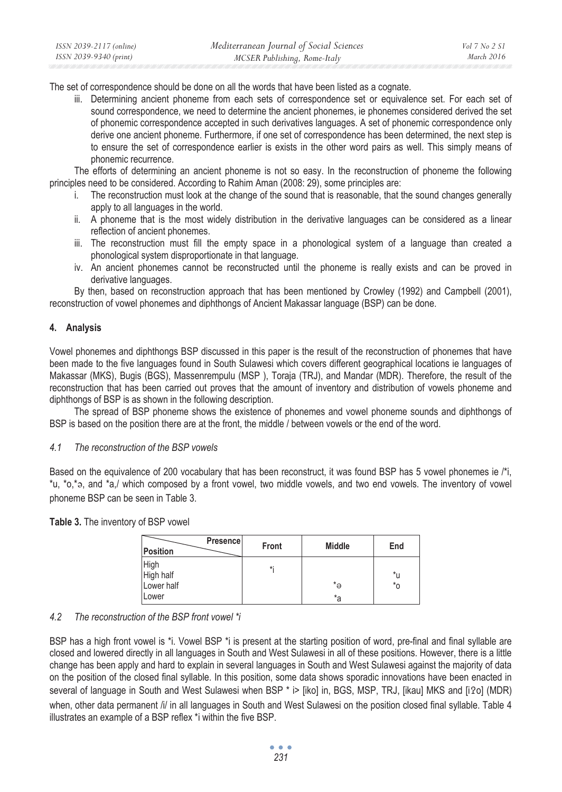The set of correspondence should be done on all the words that have been listed as a cognate.

iii. Determining ancient phoneme from each sets of correspondence set or equivalence set. For each set of sound correspondence, we need to determine the ancient phonemes, ie phonemes considered derived the set of phonemic correspondence accepted in such derivatives languages. A set of phonemic correspondence only derive one ancient phoneme. Furthermore, if one set of correspondence has been determined, the next step is to ensure the set of correspondence earlier is exists in the other word pairs as well. This simply means of phonemic recurrence.

The efforts of determining an ancient phoneme is not so easy. In the reconstruction of phoneme the following principles need to be considered. According to Rahim Aman (2008: 29), some principles are:

- i. The reconstruction must look at the change of the sound that is reasonable, that the sound changes generally apply to all languages in the world.
- ii. A phoneme that is the most widely distribution in the derivative languages can be considered as a linear reflection of ancient phonemes.
- iii. The reconstruction must fill the empty space in a phonological system of a language than created a phonological system disproportionate in that language.
- iv. An ancient phonemes cannot be reconstructed until the phoneme is really exists and can be proved in derivative languages.

By then, based on reconstruction approach that has been mentioned by Crowley (1992) and Campbell (2001), reconstruction of vowel phonemes and diphthongs of Ancient Makassar language (BSP) can be done.

# **4. Analysis**

Vowel phonemes and diphthongs BSP discussed in this paper is the result of the reconstruction of phonemes that have been made to the five languages found in South Sulawesi which covers different geographical locations ie languages of Makassar (MKS), Bugis (BGS), Massenrempulu (MSP ), Toraja (TRJ), and Mandar (MDR). Therefore, the result of the reconstruction that has been carried out proves that the amount of inventory and distribution of vowels phoneme and diphthongs of BSP is as shown in the following description.

The spread of BSP phoneme shows the existence of phonemes and vowel phoneme sounds and diphthongs of BSP is based on the position there are at the front, the middle / between vowels or the end of the word.

## *4.1 The reconstruction of the BSP vowels*

Based on the equivalence of 200 vocabulary that has been reconstruct, it was found BSP has 5 vowel phonemes ie  $\#$ i, \*u, \*o,\*a, and \*a,/ which composed by a front vowel, two middle vowels, and two end vowels. The inventory of vowel phoneme BSP can be seen in Table 3.

|  |  | Table 3. The inventory of BSP vowel |  |  |
|--|--|-------------------------------------|--|--|
|--|--|-------------------------------------|--|--|

| <b>Position</b>                        | Presence | Front | <b>Middle</b> | End                |
|----------------------------------------|----------|-------|---------------|--------------------|
| <b>High</b><br>High half<br>Lower half |          | *:    | *ә            | *u<br>$*_{\Omega}$ |
| Lower                                  |          |       | *a            |                    |

## *4.2 The reconstruction of the BSP front vowel \*i*

BSP has a high front vowel is \*i. Vowel BSP \*i is present at the starting position of word, pre-final and final syllable are closed and lowered directly in all languages in South and West Sulawesi in all of these positions. However, there is a little change has been apply and hard to explain in several languages in South and West Sulawesi against the majority of data on the position of the closed final syllable. In this position, some data shows sporadic innovations have been enacted in several of language in South and West Sulawesi when BSP  $^*$  i> [iko] in, BGS, MSP, TRJ, [ikau] MKS and [i2o] (MDR) when, other data permanent /i/ in all languages in South and West Sulawesi on the position closed final syllable. Table 4 illustrates an example of a BSP reflex \*i within the five BSP.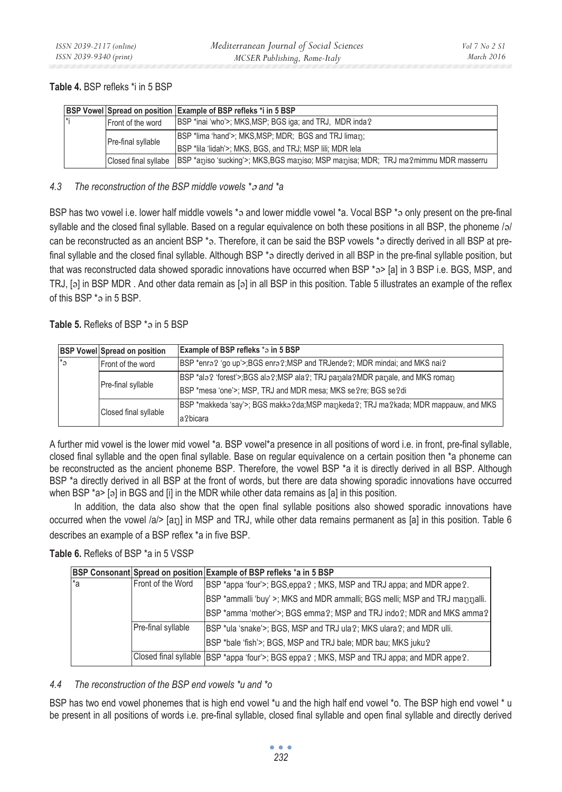# **Table 4.** BSP refleks \*i in 5 BSP

|           |                      | <b>BSP Vowel Spread on position Example of BSP refleks *i in 5 BSP</b>             |
|-----------|----------------------|------------------------------------------------------------------------------------|
| $\vert *$ | Front of the word    | BSP *inai 'who'>; MKS, MSP; BGS iga; and TRJ, MDR inda?                            |
|           | Pre-final syllable   | BSP *lima 'hand'>; MKS, MSP; MDR; BGS and TRJ liman;                               |
|           |                      | BSP *lila 'lidah'>; MKS, BGS, and TRJ; MSP lili; MDR lela                          |
|           | Closed final syllabe | BSP *aniso 'sucking'>; MKS, BGS maniso; MSP manisa; MDR; TRJ ma?mimmu MDR masserru |

# *4.3 The reconstruction of the BSP middle vowels \* and \*a*

BSP has two vowel i.e. lower half middle vowels \*3 and lower middle vowel \*a. Vocal BSP \*3 only present on the pre-final syllable and the closed final syllable. Based on a regular equivalence on both these positions in all BSP, the phoneme  $/2$ can be reconstructed as an ancient BSP  $*_{9}$ . Therefore, it can be said the BSP vowels  $*_{9}$  directly derived in all BSP at prefinal syllable and the closed final syllable. Although BSP \* a directly derived in all BSP in the pre-final syllable position, but that was reconstructed data showed sporadic innovations have occurred when BSP \*3> [a] in 3 BSP i.e. BGS, MSP, and TRJ, [a] in BSP MDR. And other data remain as [a] in all BSP in this position. Table 5 illustrates an example of the reflex of this BSP \* a in 5 BSP.

# Table 5. Refleks of BSP \* a in 5 BSP

|                       | <b>BSP Vowel Spread on position</b>                                                           | <b>Example of BSP refleks *a in 5 BSP</b>                                             |
|-----------------------|-----------------------------------------------------------------------------------------------|---------------------------------------------------------------------------------------|
| l*a                   | BSP *enra? 'go up'>;BGS enra?;MSP and TRJende?; MDR mindai; and MKS nai?<br>Front of the word |                                                                                       |
|                       |                                                                                               | BSP *ala? 'forest'>;BGS ala?;MSP ala?; TRJ panala?MDR panale, and MKS roman           |
| Pre-final syllable    |                                                                                               | BSP *mesa 'one'>; MSP, TRJ and MDR mesa; MKS se ?re; BGS se ?di                       |
| Closed final syllable |                                                                                               | [BSP *makkeda 'say'>; BGS makka ?da;MSP mankeda ?; TRJ ma ?kada; MDR mappauw, and MKS |
|                       |                                                                                               | a?bicara                                                                              |

A further mid vowel is the lower mid vowel \*a. BSP vowel\*a presence in all positions of word i.e. in front, pre-final syllable, closed final syllable and the open final syllable. Base on regular equivalence on a certain position then \*a phoneme can be reconstructed as the ancient phoneme BSP. Therefore, the vowel BSP \*a it is directly derived in all BSP. Although BSP \*a directly derived in all BSP at the front of words, but there are data showing sporadic innovations have occurred when BSP  $a > 1$  [a] in BGS and [i] in the MDR while other data remains as [a] in this position.

In addition, the data also show that the open final syllable positions also showed sporadic innovations have occurred when the vowel  $|a|$ > [an] in MSP and TRJ, while other data remains permanent as [a] in this position. Table 6 describes an example of a BSP reflex \*a in five BSP.

## **Table 6.** Refleks of BSP \*a in 5 VSSP

|     |                    | BSP Consonant Spread on position Example of BSP refleks *a in 5 BSP                        |
|-----|--------------------|--------------------------------------------------------------------------------------------|
| l*a | Front of the Word  | [BSP *appa 'four'>; BGS,eppa?; MKS, MSP and TRJ appa; and MDR appe?.                       |
|     |                    | BSP *ammalli 'buy' >; MKS and MDR ammalli; BGS melli; MSP and TRJ mannalli.                |
|     |                    | BSP *amma 'mother'>; BGS emma ?; MSP and TRJ indo ?; MDR and MKS amma ?                    |
|     | Pre-final syllable | [BSP *ula 'snake'>; BGS, MSP and TRJ ula?; MKS ulara?; and MDR ulli.                       |
|     |                    | BSP *bale 'fish'>, BGS, MSP and TRJ bale; MDR bau; MKS juku?                               |
|     |                    | Closed final syllable SBSP *appa 'four'>; BGS eppa?; MKS, MSP and TRJ appa; and MDR appe?. |

# *4.4 The reconstruction of the BSP end vowels \*u and \*o*

BSP has two end vowel phonemes that is high end vowel \*u and the high half end vowel \*o. The BSP high end vowel \*u be present in all positions of words i.e. pre-final syllable, closed final syllable and open final syllable and directly derived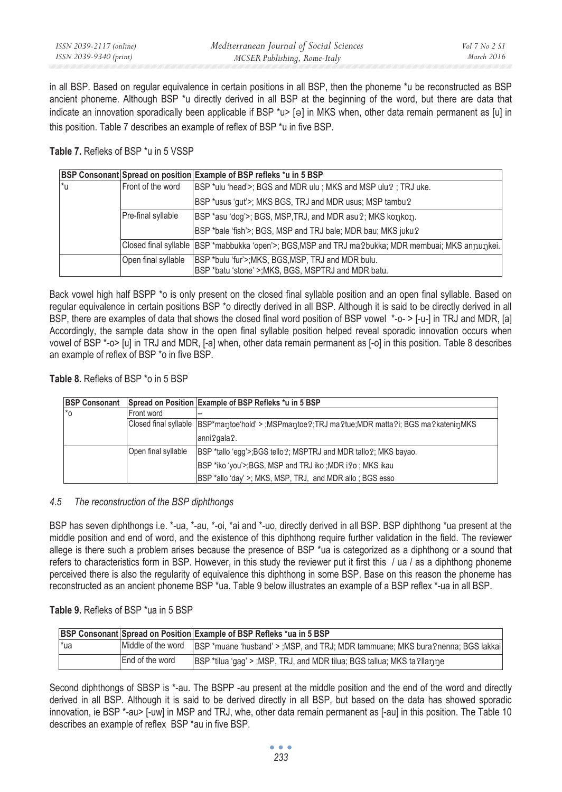in all BSP. Based on regular equivalence in certain positions in all BSP, then the phoneme \*u be reconstructed as BSP ancient phoneme. Although BSP \*u directly derived in all BSP at the beginning of the word, but there are data that indicate an innovation sporadically been applicable if BSP \*u> [a] in MKS when, other data remain permanent as [u] in this position. Table 7 describes an example of reflex of BSP \*u in five BSP.

# **Table 7.** Refleks of BSP \*u in 5 VSSP

|     |                     | BSP Consonant Spread on position Example of BSP refleks *u in 5 BSP                                      |
|-----|---------------------|----------------------------------------------------------------------------------------------------------|
| l*u | Front of the word   | [BSP *ulu 'head'>; BGS and MDR ulu; MKS and MSP ulu ?; TRJ uke.                                          |
|     |                     | BSP *usus 'gut'>; MKS BGS, TRJ and MDR usus; MSP tambu?                                                  |
|     | Pre-final syllable  | BSP *asu 'dog'>; BGS, MSP, TRJ, and MDR asu 2; MKS konkon.                                               |
|     |                     | BSP *bale 'fish'>; BGS, MSP and TRJ bale; MDR bau; MKS juku?                                             |
|     |                     | ,Closed final syllable  BSP *mabbukka 'open'>; BGS,MSP and TRJ ma ?bukka; MDR membuai; MKS anɲuŋkei.     |
|     | Open final syllable | BSP *bulu 'fur'>; MKS, BGS, MSP, TRJ and MDR bulu.<br>BSP *batu 'stone' > MKS, BGS, MSPTRJ and MDR batu. |

Back vowel high half BSPP \*o is only present on the closed final syllable position and an open final syllable. Based on regular equivalence in certain positions BSP \*o directly derived in all BSP. Although it is said to be directly derived in all BSP, there are examples of data that shows the closed final word position of BSP vowel \*-o- > [-u-] in TRJ and MDR, [a] Accordingly, the sample data show in the open final syllable position helped reveal sporadic innovation occurs when vowel of BSP \*-o> [u] in TRJ and MDR, [-a] when, other data remain permanent as [-o] in this position. Table 8 describes an example of reflex of BSP \*o in five BSP.

# **Table 8.** Refleks of BSP \*o in 5 BSP

| <b>BSP Consonant</b> |                     | Spread on Position Example of BSP Refleks *u in 5 BSP                                           |
|----------------------|---------------------|-------------------------------------------------------------------------------------------------|
| l*o                  | Front word          |                                                                                                 |
|                      |                     | Closed final syllable [BSP*mantoe'hold' > ;MSPmantoe?;TRJ ma?tue;MDR matta?i; BGS ma?kateninMKS |
|                      |                     | anni?gala?.                                                                                     |
|                      | Open final syllable | BSP *tallo 'egg'>;BGS tello?; MSPTRJ and MDR tallo?; MKS bayao.                                 |
|                      |                     | BSP *iko 'you'>;BGS, MSP and TRJ iko ;MDR i?o; MKS ikau                                         |
|                      |                     | BSP *allo 'day' >; MKS, MSP, TRJ, and MDR allo; BGS esso                                        |

## *4.5 The reconstruction of the BSP diphthongs*

BSP has seven diphthongs i.e. \*-ua, \*-au, \*-oi, \*ai and \*-uo, directly derived in all BSP. BSP diphthong \*ua present at the middle position and end of word, and the existence of this diphthong require further validation in the field. The reviewer allege is there such a problem arises because the presence of BSP \*ua is categorized as a diphthong or a sound that refers to characteristics form in BSP. However, in this study the reviewer put it first this / ua / as a diphthong phoneme perceived there is also the regularity of equivalence this diphthong in some BSP. Base on this reason the phoneme has reconstructed as an ancient phoneme BSP \*ua. Table 9 below illustrates an example of a BSP reflex \*-ua in all BSP.

## **Table 9.** Refleks of BSP \*ua in 5 BSP

|      |                 | <b>BSP Consonant Spread on Position Example of BSP Refleks *ua in 5 BSP</b>                          |
|------|-----------------|------------------------------------------------------------------------------------------------------|
| l*ua |                 | Middle of the word   BSP *muane 'husband' > ; MSP, and TRJ; MDR tammuane; MKS bura?nenna; BGS lakkai |
|      | End of the word | BSP *tilua 'qaq' > :MSP, TRJ, and MDR tilua; BGS tallua; MKS ta ?llanne                              |

Second diphthongs of SBSP is \*-au. The BSPP -au present at the middle position and the end of the word and directly derived in all BSP. Although it is said to be derived directly in all BSP, but based on the data has showed sporadic innovation, ie BSP \*-au> [-uw] in MSP and TRJ, whe, other data remain permanent as [-au] in this position. The Table 10 describes an example of reflex BSP \*au in five BSP.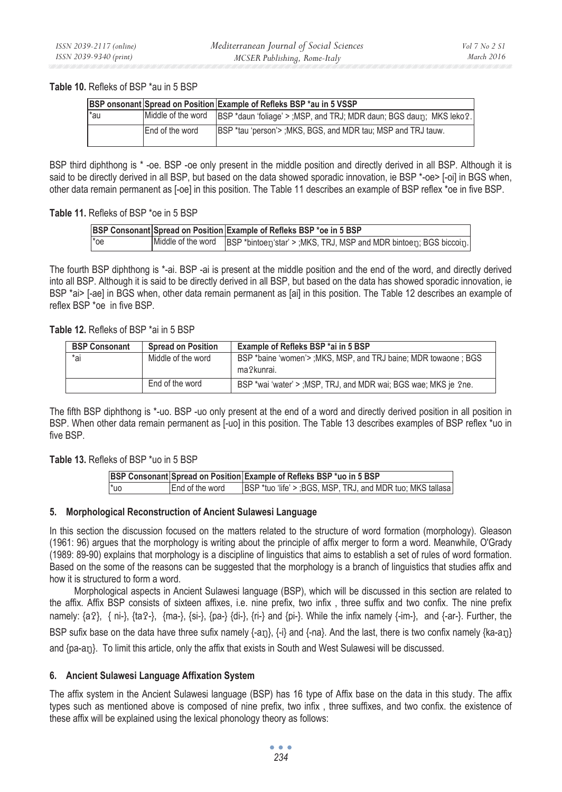### **Table 10.** Refleks of BSP \*au in 5 BSP

|     |                        | <b>BSP onsonant Spread on Position Example of Refleks BSP *au in 5 VSSP</b> |
|-----|------------------------|-----------------------------------------------------------------------------|
| *au | Middle of the word     | BSP *daun 'foliage' > :MSP, and TRJ; MDR daun; BGS daun; MKS leko ?.        |
|     | <b>End of the word</b> | IBSP *tau 'person'> : MKS, BGS, and MDR tau; MSP and TRJ tauw.              |

BSP third diphthong is \* -oe. BSP -oe only present in the middle position and directly derived in all BSP. Although it is said to be directly derived in all BSP, but based on the data showed sporadic innovation, ie BSP \*-oe> [-oi] in BGS when, other data remain permanent as [-oe] in this position. The Table 11 describes an example of BSP reflex \*oe in five BSP.

## **Table 11.** Refleks of BSP \*oe in 5 BSP

|     | BSP Consonant Spread on Position Example of Refleks BSP *oe in 5 BSP                    |
|-----|-----------------------------------------------------------------------------------------|
| *oe | Middle of the word   BSP *bintoen star' > ; MKS, TRJ, MSP and MDR bintoen; BGS biccoin. |

The fourth BSP diphthong is \*-ai. BSP -ai is present at the middle position and the end of the word, and directly derived into all BSP. Although it is said to be directly derived in all BSP, but based on the data has showed sporadic innovation, ie BSP \*ai> [-ae] in BGS when, other data remain permanent as [ai] in this position. The Table 12 describes an example of reflex BSP \*oe in five BSP.

# **Table 12.** Refleks of BSP \*ai in 5 BSP

| <b>BSP Consonant</b> | <b>Spread on Position</b> | Example of Refleks BSP *ai in 5 BSP                                            |
|----------------------|---------------------------|--------------------------------------------------------------------------------|
| *ai                  | Middle of the word        | BSP *baine 'women'> ; MKS, MSP, and TRJ baine; MDR towaone ; BGS<br>ma?kunrai. |
|                      | End of the word           | BSP *wai 'water' > :MSP, TRJ, and MDR wai: BGS wae: MKS je ?ne.                |

The fifth BSP diphthong is \*-uo. BSP -uo only present at the end of a word and directly derived position in all position in BSP. When other data remain permanent as [-uo] in this position. The Table 13 describes examples of BSP reflex \*uo in five BSP.

# **Table 13.** Refleks of BSP \*uo in 5 BSP

|     |                        | BSP Consonant Spread on Position Example of Refleks BSP *uo in 5 BSP |
|-----|------------------------|----------------------------------------------------------------------|
| *uo | <b>End of the word</b> | IBSP *tuo 'life' > :BGS, MSP, TRJ, and MDR tuo: MKS tallasa          |

## **5. Morphological Reconstruction of Ancient Sulawesi Language**

In this section the discussion focused on the matters related to the structure of word formation (morphology). Gleason (1961: 96) argues that the morphology is writing about the principle of affix merger to form a word. Meanwhile, O'Grady (1989: 89-90) explains that morphology is a discipline of linguistics that aims to establish a set of rules of word formation. Based on the some of the reasons can be suggested that the morphology is a branch of linguistics that studies affix and how it is structured to form a word.

Morphological aspects in Ancient Sulawesi language (BSP), which will be discussed in this section are related to the affix. Affix BSP consists of sixteen affixes, i.e. nine prefix, two infix , three suffix and two confix. The nine prefix namely:  $\{a\}$ ,  $\{n\}$ ,  $\{ta\}$ ,  $\{ma\}$ ,  $\{si\}$ ,  $\{pa\}$ ,  $\{di\}$ ,  $\{ri\}$  and  $\{pi\}$ . While the infix namely  $\{im\}$ , and  $\{ar\}$ . Further, the BSP sufix base on the data have three sufix namely {-an}, {-i} and {-na}. And the last, there is two confix namely {ka-an} and {pa-a<sub>1</sub>}. To limit this article, only the affix that exists in South and West Sulawesi will be discussed.

## **6. Ancient Sulawesi Language Affixation System**

The affix system in the Ancient Sulawesi language (BSP) has 16 type of Affix base on the data in this study. The affix types such as mentioned above is composed of nine prefix, two infix , three suffixes, and two confix. the existence of these affix will be explained using the lexical phonology theory as follows: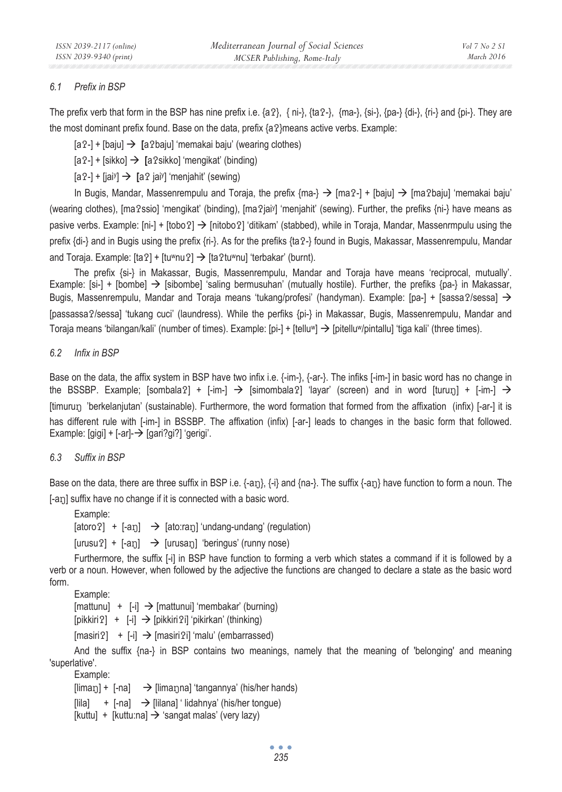# *6.1 Prefix in BSP*

The prefix verb that form in the BSP has nine prefix i.e.  $\{a\}$ ,  $\{n_i\}$ ,  $\{a\}$ ,  $\{n_i\}$ ,  $\{n_i\}$ ,  $\{n_i\}$ ,  $\{n_i\}$ ,  $\{n_i\}$ ,  $\{n_i\}$ ,  $\{n_i\}$ ,  $\{n_i\}$ ,  $\{n_i\}$ ,  $\{n_i\}$ ,  $\{n_i\}$ ,  $\{n_i\}$ ,  $\{n_i\}$ ,  $\{n_i$ the most dominant prefix found. Base on the data, prefix  $\{a\}$ means active verbs. Example:

 $[a^2-] + [bai] \rightarrow [a^2bai]$  'memakai baju' (wearing clothes)

[a2-] + [sikko] → **[a2sikko]** 'mengikat' (binding)

[a?-] + [jai<sup>y</sup>] → [a? jai<sup>y</sup>] 'menjahit' (sewing)

In Bugis, Mandar, Massenrempulu and Toraja, the prefix  ${m}$ a- $\} \rightarrow$  [ma $-$ ] + [baju]  $\rightarrow$  [ma $\alpha$ baju] 'memakai baju' (wearing clothes), [ma?ssio] 'mengikat' (binding), [ma?jai<sup>y</sup>] 'menjahit' (sewing). Further, the prefiks {ni-} have means as pasive verbs. Example:  $[n_i] + [tobo2] \rightarrow [nitobo2]$  'ditikam' (stabbed), while in Toraja, Mandar, Massenrmpulu using the prefix {di-} and in Bugis using the prefix {ri-}. As for the prefiks {ta-} found in Bugis, Makassar, Massenrempulu, Mandar and Toraja. Example:  $[ta2] + [tu^wnu2] \rightarrow [ta2tu^wnu]$  'terbakar' (burnt).

The prefix {si-} in Makassar, Bugis, Massenrempulu, Mandar and Toraja have means 'reciprocal, mutually'. Example: [si-] + [bombe]  $\rightarrow$  [sibombe] 'saling bermusuhan' (mutually hostile). Further, the prefiks {pa-} in Makassar, Bugis, Massenrempulu, Mandar and Toraja means 'tukang/profesi' (handyman). Example: [pa-] + [sassa?/sessa]  $\rightarrow$ [passassa?/sessa] 'tukang cuci' (laundress). While the perfiks {pi-} in Makassar, Bugis, Massenrempulu, Mandar and Toraja means 'bilangan/kali' (number of times). Example: [pi-] + [tellu<sup>w</sup>]  $\Rightarrow$  [pitellu<sup>w</sup>/pintallu] 'tiga kali' (three times).

*6.2 Infix in BSP* 

Base on the data, the affix system in BSP have two infix i.e.  $\{-im\}$ ,  $\{-ar\}$ . The infiks  $\{-im\}$  in basic word has no change in the BSSBP. Example; [sombala?] + [-im-]  $\rightarrow$  [simombala?] 'layar' (screen) and in word [turun̪] + [-im-]  $\rightarrow$ [timurun] 'berkelanjutan' (sustainable). Furthermore, the word formation that formed from the affixation (infix) [-ar-] it is has different rule with [-im-] in BSSBP. The affixation (infix) [-ar-] leads to changes in the basic form that followed. Example: [gigi] + [-ar]- $\rightarrow$  [gari?gi?] 'gerigi'.

# *6.3 Suffix in BSP*

Base on the data, there are three suffix in BSP i.e.  $\{-a_1\}$ ,  $\{-i\}$  and  $\{na_2\}$ . The suffix  $\{-a_1\}$  have function to form a noun. The [-an] suffix have no change if it is connected with a basic word.

Example:

 $[atoro?] + [-a<sub>1</sub>] \rightarrow [atoren] 'undang-undang' (regulation)$ 

 $[urusu$ ?] +  $[-an]$   $\rightarrow$   $[urusan]$  'beringus' (runny nose)

Furthermore, the suffix [-i] in BSP have function to forming a verb which states a command if it is followed by a verb or a noun. However, when followed by the adjective the functions are changed to declare a state as the basic word form.

Example:

 $[mattunu] + [-i] \rightarrow [mattunui]$  'membakar' (burning)

 $[pikkir1] + [-i] \rightarrow [pikkir12i] 'pikirkan' (thinking)$ 

 $[masiri]$  +  $[-i]$   $\rightarrow$   $[masiri]$  'malu' (embarrassed)

And the suffix {na-} in BSP contains two meanings, namely that the meaning of 'belonging' and meaning 'superlative'.

Example:

 $[\lim_{n}$ ] +  $[-na]$   $\rightarrow$   $[\lim_{n}$ nangal 'tangannya' (his/her hands)

 $\begin{bmatrix} 1 & 1 \\ 1 & 2 \end{bmatrix}$  +  $\begin{bmatrix} -n & 1 \\ -n & 1 \end{bmatrix}$   $\rightarrow$   $\begin{bmatrix} 1 & 1 \\ 1 & 2 \end{bmatrix}$   $\begin{bmatrix} 1 & 1 \\ 1 & 2 \end{bmatrix}$   $\begin{bmatrix} 1 & 1 \\ 1 & 2 \end{bmatrix}$   $\begin{bmatrix} 1 & 1 \\ 1 & 2 \end{bmatrix}$   $\begin{bmatrix} 1 & 1 \\ 1 & 2 \end{bmatrix}$   $\begin{bmatrix} 1 & 1 \\ 1 & 2 \end{bmatrix}$   $\begin{bmatrix$ 

[kuttu] + [kuttu:na]  $\rightarrow$  'sangat malas' (very lazy)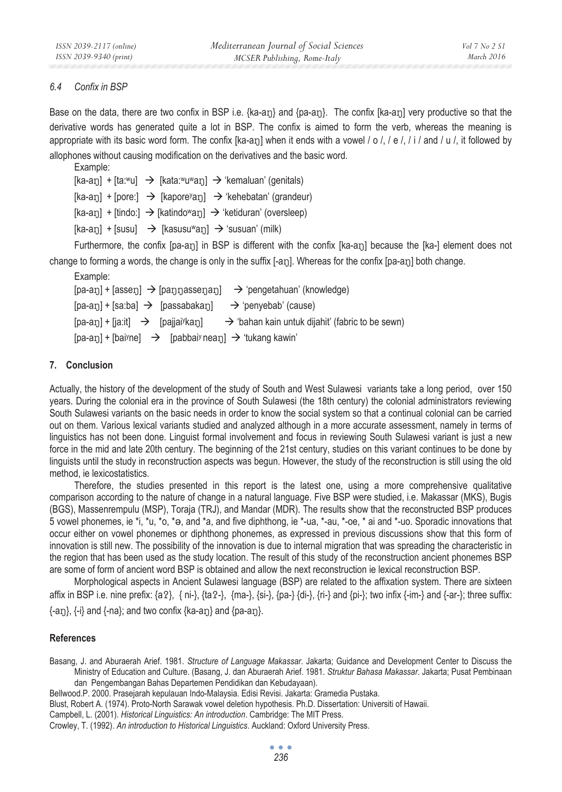## *6.4 Confix in BSP*

Base on the data, there are two confix in BSP i.e.  $\{ka-an\}$  and  $\{pa-an\}$ . The confix  $[ka-an]$  very productive so that the derivative words has generated quite a lot in BSP. The confix is aimed to form the verb, whereas the meaning is appropriate with its basic word form. The confix  $[ka-a<sub>1</sub>]$  when it ends with a vowel / o /, / e /, / i / and / u /, it followed by allophones without causing modification on the derivatives and the basic word.

```
Example: 
[ka-a<sub>1</sub>] + [ta<sup>w</sup>u] \rightarrow [kata<sup>w</sup>u<sup>w</sup>a<sub>1</sub>] \rightarrow 'kemaluan' (genitals)
[ka-aŋ] + [pore:] → [kapore<sup>y</sup>aŋ] → 'kehebatan' (grandeur)
[ka-an] + [tindo:] \rightarrow [katindo^wan] \rightarrow 'ketiduran' (oversleep)[ka-an] + [susu] \rightarrow [kasusu^wan] \rightarrow 'susuan' (milk)
```
Furthermore, the confix [pa-an] in BSP is different with the confix [ka-an] because the [ka-] element does not change to forming a words, the change is only in the suffix [-an]. Whereas for the confix [pa-an] both change.

Example:  $[pa-a<sub>1</sub>] + [asse<sub>1</sub>] \rightarrow [pamnassen] \rightarrow 'pengetahuan' (knowledge)$  $[pa-an] + [sa:ba] \rightarrow [passabakan] \rightarrow 'penvebab' (cause)$  $[pa-a<sub>1</sub>] + [ja:it] \rightarrow [pajjai<sup>y</sup>ka<sub>1</sub>]$  $\rightarrow$  'bahan kain untuk dijahit' (fabric to be sewn)  $[pa-a<sub>1</sub>] + [ba<sup>j</sup>ne]$   $\rightarrow$   $[pabba<sup>j</sup> nea<sub>1</sub>]$   $\rightarrow$  'tukang kawin'

# **7. Conclusion**

Actually, the history of the development of the study of South and West Sulawesi variants take a long period, over 150 years. During the colonial era in the province of South Sulawesi (the 18th century) the colonial administrators reviewing South Sulawesi variants on the basic needs in order to know the social system so that a continual colonial can be carried out on them. Various lexical variants studied and analyzed although in a more accurate assessment, namely in terms of linguistics has not been done. Linguist formal involvement and focus in reviewing South Sulawesi variant is just a new force in the mid and late 20th century. The beginning of the 21st century, studies on this variant continues to be done by linguists until the study in reconstruction aspects was begun. However, the study of the reconstruction is still using the old method, ie lexicostatistics.

Therefore, the studies presented in this report is the latest one, using a more comprehensive qualitative comparison according to the nature of change in a natural language. Five BSP were studied, i.e. Makassar (MKS), Bugis (BGS), Massenrempulu (MSP), Toraja (TRJ), and Mandar (MDR). The results show that the reconstructed BSP produces 5 vowel phonemes, ie \*i, \*u, \*o, \*ə, and \*a, and five diphthong, ie \*-ua, \*-au, \*-oe, \* ai and \*-uo. Sporadic innovations that occur either on vowel phonemes or diphthong phonemes, as expressed in previous discussions show that this form of innovation is still new. The possibility of the innovation is due to internal migration that was spreading the characteristic in the region that has been used as the study location. The result of this study of the reconstruction ancient phonemes BSP are some of form of ancient word BSP is obtained and allow the next reconstruction ie lexical reconstruction BSP.

Morphological aspects in Ancient Sulawesi language (BSP) are related to the affixation system. There are sixteen affix in BSP i.e. nine prefix:  $\{a2\}$ ,  $\{ni-\}$ ,  $\{ta2\}$ ,  $\{ma-\}$ ,  $\{si-\}$ ,  $\{pa-\}$   $\{di-\}$ ,  $\{ri-\}$  and  $\{pi\}$ ,  $\{im-\}$  and  $\{-ar-\}$ ; three suffix:  $\{-a_1\}$ ,  $\{-i\}$  and  $\{-na\}$ ; and two confix  $\{ka-a_1\}$  and  $\{pa-a_1\}$ .

### **References**

Basang, J. and Aburaerah Arief. 1981. *Structure of Language Makassar*. Jakarta; Guidance and Development Center to Discuss the Ministry of Education and Culture. (Basang, J. dan Aburaerah Arief. 1981. *Struktur Bahasa Makassar*. Jakarta; Pusat Pembinaan dan Pengembangan Bahas Departemen Pendidikan dan Kebudayaan).

Bellwood.P. 2000. Prasejarah kepulauan Indo-Malaysia. Edisi Revisi. Jakarta: Gramedia Pustaka.

Blust, Robert A. (1974). Proto-North Sarawak vowel deletion hypothesis. Ph.D. Dissertation: Universiti of Hawaii.

Campbell, L. (2001). *Historical Linguistics: An introduction*. Cambridge: The MIT Press.

Crowley, T. (1992). *An introduction to Historical Linguistics*. Auckland: Oxford University Press.